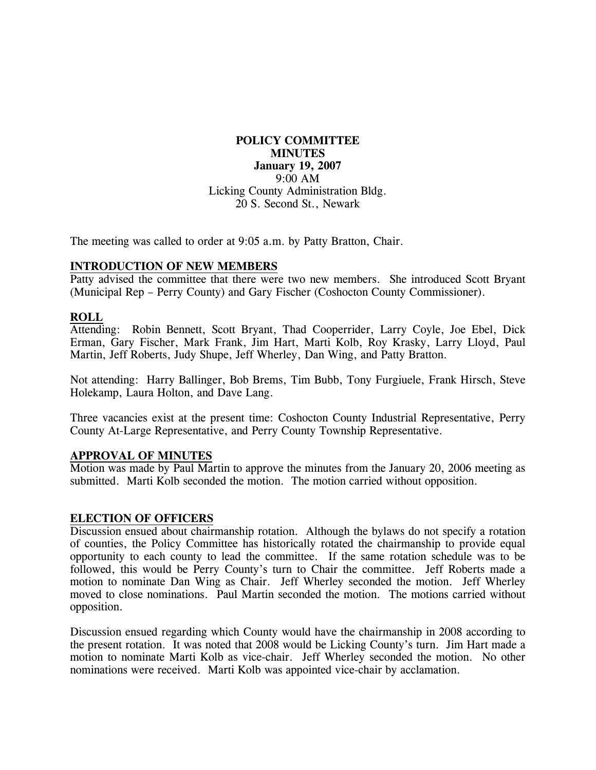# **POLICY COMMITTEE MINUTES January 19, 2007**  9:00 AM Licking County Administration Bldg. 20 S. Second St., Newark

The meeting was called to order at 9:05 a.m. by Patty Bratton, Chair.

## **INTRODUCTION OF NEW MEMBERS**

Patty advised the committee that there were two new members. She introduced Scott Bryant (Municipal Rep – Perry County) and Gary Fischer (Coshocton County Commissioner).

### **ROLL**

Attending: Robin Bennett, Scott Bryant, Thad Cooperrider, Larry Coyle, Joe Ebel, Dick Erman, Gary Fischer, Mark Frank, Jim Hart, Marti Kolb, Roy Krasky, Larry Lloyd, Paul Martin, Jeff Roberts, Judy Shupe, Jeff Wherley, Dan Wing, and Patty Bratton.

Not attending: Harry Ballinger, Bob Brems, Tim Bubb, Tony Furgiuele, Frank Hirsch, Steve Holekamp, Laura Holton, and Dave Lang.

Three vacancies exist at the present time: Coshocton County Industrial Representative, Perry County At-Large Representative, and Perry County Township Representative.

#### **APPROVAL OF MINUTES**

Motion was made by Paul Martin to approve the minutes from the January 20, 2006 meeting as submitted. Marti Kolb seconded the motion. The motion carried without opposition.

#### **ELECTION OF OFFICERS**

Discussion ensued about chairmanship rotation. Although the bylaws do not specify a rotation of counties, the Policy Committee has historically rotated the chairmanship to provide equal opportunity to each county to lead the committee. If the same rotation schedule was to be followed, this would be Perry County's turn to Chair the committee. Jeff Roberts made a motion to nominate Dan Wing as Chair. Jeff Wherley seconded the motion. Jeff Wherley moved to close nominations. Paul Martin seconded the motion. The motions carried without opposition.

Discussion ensued regarding which County would have the chairmanship in 2008 according to the present rotation. It was noted that 2008 would be Licking County's turn. Jim Hart made a motion to nominate Marti Kolb as vice-chair. Jeff Wherley seconded the motion. No other nominations were received. Marti Kolb was appointed vice-chair by acclamation.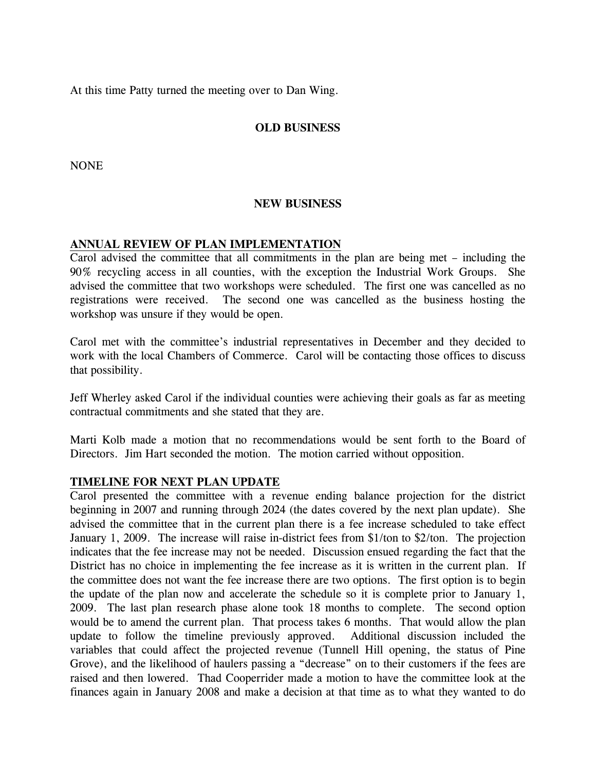At this time Patty turned the meeting over to Dan Wing.

# **OLD BUSINESS**

NONE

### **NEW BUSINESS**

### **ANNUAL REVIEW OF PLAN IMPLEMENTATION**

Carol advised the committee that all commitments in the plan are being met – including the 90% recycling access in all counties, with the exception the Industrial Work Groups. She advised the committee that two workshops were scheduled. The first one was cancelled as no registrations were received. The second one was cancelled as the business hosting the workshop was unsure if they would be open.

Carol met with the committee's industrial representatives in December and they decided to work with the local Chambers of Commerce. Carol will be contacting those offices to discuss that possibility.

Jeff Wherley asked Carol if the individual counties were achieving their goals as far as meeting contractual commitments and she stated that they are.

Marti Kolb made a motion that no recommendations would be sent forth to the Board of Directors. Jim Hart seconded the motion. The motion carried without opposition.

## **TIMELINE FOR NEXT PLAN UPDATE**

Carol presented the committee with a revenue ending balance projection for the district beginning in 2007 and running through 2024 (the dates covered by the next plan update). She advised the committee that in the current plan there is a fee increase scheduled to take effect January 1, 2009. The increase will raise in-district fees from \$1/ton to \$2/ton. The projection indicates that the fee increase may not be needed. Discussion ensued regarding the fact that the District has no choice in implementing the fee increase as it is written in the current plan. If the committee does not want the fee increase there are two options. The first option is to begin the update of the plan now and accelerate the schedule so it is complete prior to January 1, 2009. The last plan research phase alone took 18 months to complete. The second option would be to amend the current plan. That process takes 6 months. That would allow the plan update to follow the timeline previously approved. Additional discussion included the variables that could affect the projected revenue (Tunnell Hill opening, the status of Pine Grove), and the likelihood of haulers passing a "decrease" on to their customers if the fees are raised and then lowered. Thad Cooperrider made a motion to have the committee look at the finances again in January 2008 and make a decision at that time as to what they wanted to do